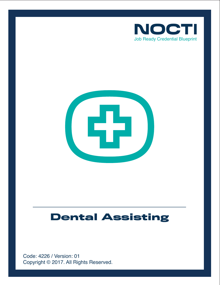



# **Dental Assisting**

Copyright © 2017. All Rights Reserved. Code: 4226 / Version: 01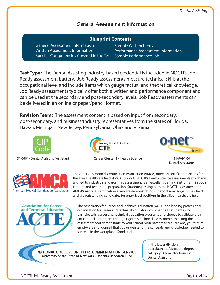## **General Assessment Information**

| <b>Blueprint Contents</b>                                    |                             |  |
|--------------------------------------------------------------|-----------------------------|--|
| <b>General Assessment Information</b>                        | <b>Sample Written Items</b> |  |
| Written Assessment Information                               | <b>Performance Assessm</b>  |  |
| Specific Competencies Covered in the Test Sample Performance |                             |  |

**Test Type:** The Dental Assisting industry-based credential is included in NOCTI's Job Ready assessment battery. Job Ready assessments measure technical skills at the occupational level and include items which gauge factual and theoretical knowledge. Job Ready assessments typically offer both a written and performance component and can be used at the secondary and post-secondary levels. Job Ready assessments can be delivered in an online or paper/pencil format.

**Revision Team:** The assessment content is based on input from secondary, post-secondary, and business/industry representatives from the states of Florida, Hawaii, Michigan, New Jersey, Pennsylvania, Ohio, and Virginia.









sment Information

e Job

Dental Assistants



**Association for Career** and Technical Education The American Medical Certification Association (AMCA) offers 14 certification exams for the allied healthcare field. AMCA supports NOCTI's Health Science assessments which are aligned to industry standards. This assessment is an excellent training instrument, in both content and test-mode preparation. Students passing both the NOCTI assessment and AMCA's national certification exam are demonstrating superior knowledge in their field and are outstanding candidates for entry-level positions in the allied healthcare field.

The Association for Career and Technical Education (ACTE), the leading professional organization for career and technical educators, commends all students who participate in career and technical education programs and choose to validate their educational attainment through rigorous technical assessments. In taking this assessment you demonstrate to your school, your parents and guardians, your future employers and yourself that you understand the concepts and knowledge needed to succeed in the workplace. Good Luck!

NATIONAL COLLEGE CREDIT RECOMMENDATION SERVICE University of the State of New York - Regents Research Fund

In the lower division baccalaureate/associate degree category, 3 semester hours in Dental Assisting.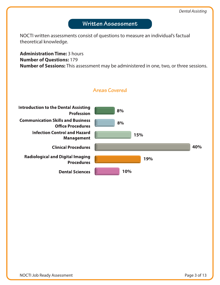## **Written Assessment**

NOCTI written assessments consist of questions to measure an individual's factual theoretical knowledge.

**Administration Time:** 3 hours **Number of Questions:** 179 **Number of Sessions:** This assessment may be administered in one, two, or three sessions.



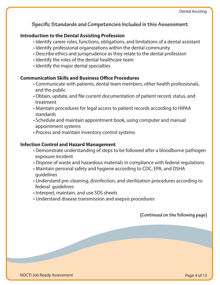**Specific Standards and Competencies Included in this Assessment** 

#### **Introduction to the Dental Assisting Profession**

- Identify career roles, functions, obligations, and limitations of a dental assistant
- Identify professional organizations within the dental community
- Describe ethics and jurisprudence as they relate to the dental profession
- Identify the roles of the dental healthcare team
- Identify the major dental specialties

#### **Communication Skills and Business Office Procedures**

- Communicate with patients, dental team members, other health professionals, and the public
- Obtain, update, and file current documentation of patient record, status, and treatment
- Maintain procedures for legal access to patient records according to HIPAA standards
- Schedule and maintain appointment book, using computer and manual appointment systems
- Process and maintain inventory control systems

#### **Infection Control and Hazard Management**

- Demonstrate understanding of steps to be followed after a bloodborne pathogen exposure incident
- Dispose of waste and hazardous materials in compliance with federal regulations
- Maintain personal safety and hygiene according to CDC, EPA, and OSHA guidelines
- Understand pre-cleaning, disinfection, and sterilization procedures according to federal guidelines
- Interpret, maintain, and use SDS sheets
- Understand disease transmission and asepsis procedures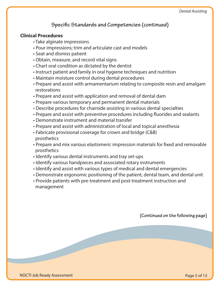## **Specific Standards and Competencies (continued)**

#### **Clinical Procedures**

- Take alginate impressions
- Pour impressions; trim and articulate cast and models
- Seat and dismiss patient
- Obtain, measure, and record vital signs
- Chart oral condition as dictated by the dentist
- Instruct patient and family in oral hygiene techniques and nutrition
- Maintain moisture control during dental procedures
- Prepare and assist with armamentarium relating to composite resin and amalgam restorations
- Prepare and assist with application and removal of dental dam
- Prepare various temporary and permanent dental materials
- Describe procedures for chairside assisting in various dental specialties
- Prepare and assist with preventive procedures including fluorides and sealants
- Demonstrate instrument and material transfer
- Prepare and assist with administration of local and topical anesthesia
- Fabricate provisional coverage for crown and bridge (C&B) prosthetics
- Prepare and mix various elastomeric impression materials for fixed and removable prosthetics
- Identify various dental instruments and tray set-ups
- Identify various handpieces and associated rotary instruments
- Identify and assist with various types of medical and dental emergencies
- Demonstrate ergonomic positioning of the patient, dental team, and dental unit
- Provide patients with pre-treatment and post-treatment instruction and management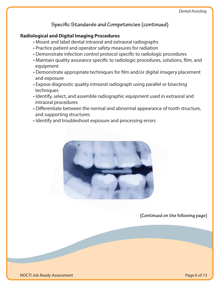**Specific Standards and Competencies (continued)** 

#### **Radiological and Digital Imaging Procedures**

- Mount and label dental intraoral and extraoral radiographs
- Practice patient and operator safety measures for radiation
- Demonstrate infection control protocol specific to radiologic procedures
- Maintain quality assurance specific to radiologic procedures, solutions, film, and equipment
- Demonstrate appropriate techniques for film and/or digital imagery placement and exposure
- Expose diagnostic quality intraoral radiograph using parallel or bisecting techniques
- Identify, select, and assemble radiographic equipment used in extraoral and intraoral procedures
- Differentiate between the normal and abnormal appearance of tooth structure, and supporting structures
- Identify and troubleshoot exposure and processing errors

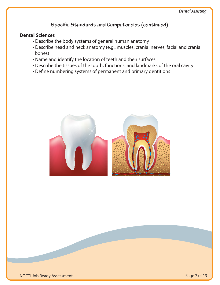# **Specific Standards and Competencies (continued)**

#### **Dental Sciences**

- Describe the body systems of general human anatomy
- Describe head and neck anatomy (e.g., muscles, cranial nerves, facial and cranial bones)
- Name and identify the location of teeth and their surfaces
- Describe the tissues of the tooth, functions, and landmarks of the oral cavity
- Define numbering systems of permanent and primary dentitions

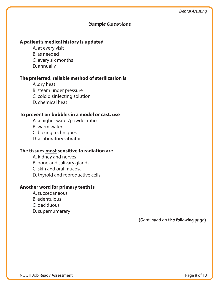#### **Sample Questions**

#### **A patient's medical history is updated**

 A. at every visit B. as needed C. every six months D. annually

#### **The preferred, reliable method of sterilization is**

- A .dry heat B. steam under pressure C. cold disinfecting solution
- D. chemical heat

#### **To prevent air bubbles in a model or cast, use**

- A. a higher water/powder ratio
- B. warm water
- C. boxing techniques
- D. a laboratory vibrator

#### **The tissues most sensitive to radiation are**

- A. kidney and nerves
- B. bone and salivary glands
- C. skin and oral mucosa
- D. thyroid and reproductive cells

#### **Another word for primary teeth is**

- A. succedaneous
- B. edentulous
- C. deciduous
- D. supernumerary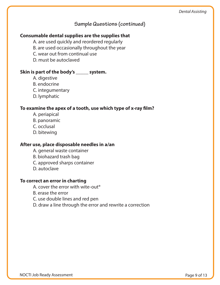## **Sample Questions (continued)**

#### **Consumable dental supplies are the supplies that**

A. are used quickly and reordered regularly

B. are used occasionally throughout the year

C. wear out from continual use

D. must be autoclaved

#### **Skin is part of the body's \_\_\_\_\_ system.**

- A. digestive
- B. endocrine
- C. integumentary
- D. lymphatic

#### To examine the apex of a tooth, use which type of x-ray film?

- A. periapical
- B. panoramic
- C. occlusal
- D. bitewing

#### **After use, place disposable needles in a/an**

- A. general waste container
- B. biohazard trash bag
- C. approved sharps container
- D. autoclave

#### **To correct an error in charting**

- A. cover the error with wite-out®
- B. erase the error
- C. use double lines and red pen
- D. draw a line through the error and rewrite a correction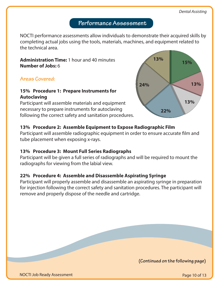# **Performance Assessment**

NOCTI performance assessments allow individuals to demonstrate their acquired skills by completing actual jobs using the tools, materials, machines, and equipment related to the technical area.

**Administration Time:** 1 hour and 40 minutes **Number of Jobs:** 6

**Areas Covered:** 

#### **15% Procedure 1: Prepare Instruments for Autoclaving**

Participant will assemble materials and equipment necessary to prepare instruments for autoclaving following the correct safety and sanitation procedures.



## **13% Procedure 2: Assemble Equipment to Expose Radiographic Film**

Participant will assemble radiographic equipment in order to ensure accurate film and tube placement when exposing x-rays.

#### **13% Procedure 3: Mount Full Series Radiographs**

Participant will be given a full series of radiographs and will be required to mount the radiographs for viewing from the labial view.

#### **22% Procedure 4: Assemble and Disassemble Aspirating Syringe**

Participant will properly assemble and disassemble an aspirating syringe in preparation for injection following the correct safety and sanitation procedures. The participant will remove and properly dispose of the needle and cartridge.

**(Continued on the following page)**

NOCTI Job Ready Assessment

Page 10 of 13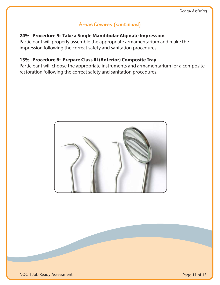# **Areas Covered (continued)**

#### **24% Procedure 5: Take a Single Mandibular Alginate Impression**

Participant will properly assemble the appropriate armamentarium and make the impression following the correct safety and sanitation procedures.

### **13% Procedure 6: Prepare Class III (Anterior) Composite Tray**

Participant will choose the appropriate instruments and armamentarium for a composite restoration following the correct safety and sanitation procedures.

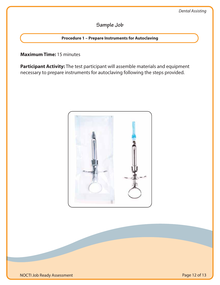# **Sample Job**

#### **Procedure 1 – Prepare Instruments for Autoclaving**

#### **Maximum Time:** 15 minutes

**Participant Activity:** The test participant will assemble materials and equipment necessary to prepare instruments for autoclaving following the steps provided.